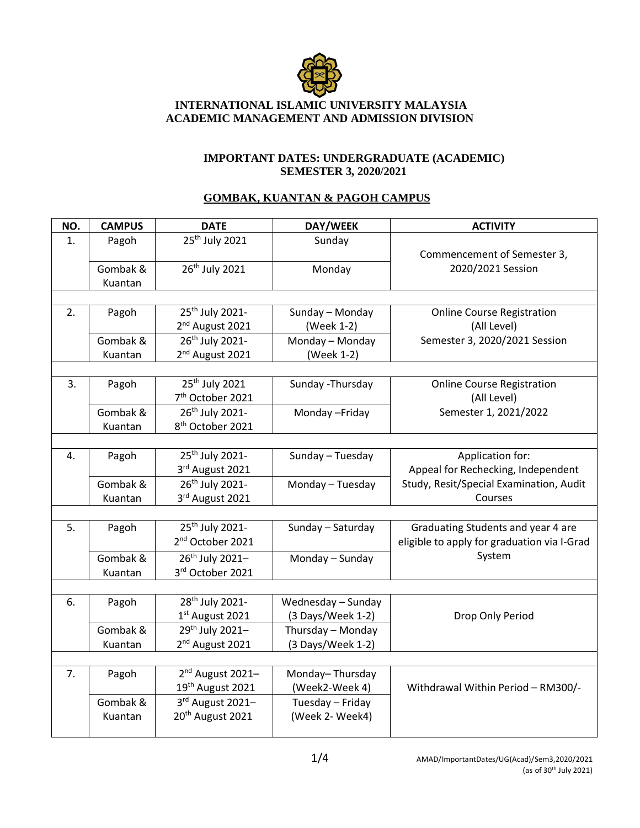

## **INTERNATIONAL ISLAMIC UNIVERSITY MALAYSIA ACADEMIC MANAGEMENT AND ADMISSION DIVISION**

## **IMPORTANT DATES: UNDERGRADUATE (ACADEMIC) SEMESTER 3, 2020/2021**

## **GOMBAK, KUANTAN & PAGOH CAMPUS**

| NO. | <b>CAMPUS</b> | <b>DATE</b>                  | DAY/WEEK           | <b>ACTIVITY</b>                             |
|-----|---------------|------------------------------|--------------------|---------------------------------------------|
| 1.  | Pagoh         | 25 <sup>th</sup> July 2021   | Sunday             |                                             |
|     |               |                              |                    | Commencement of Semester 3,                 |
|     | Gombak &      | 26 <sup>th</sup> July 2021   | Monday             | 2020/2021 Session                           |
|     | Kuantan       |                              |                    |                                             |
|     |               |                              |                    |                                             |
| 2.  | Pagoh         | 25 <sup>th</sup> July 2021-  | Sunday - Monday    | <b>Online Course Registration</b>           |
|     |               | 2 <sup>nd</sup> August 2021  | (Week 1-2)         | (All Level)                                 |
|     | Gombak &      | 26 <sup>th</sup> July 2021-  | Monday - Monday    | Semester 3, 2020/2021 Session               |
|     | Kuantan       | 2 <sup>nd</sup> August 2021  | (Week 1-2)         |                                             |
|     |               |                              |                    |                                             |
| 3.  | Pagoh         | 25 <sup>th</sup> July 2021   | Sunday - Thursday  | <b>Online Course Registration</b>           |
|     |               | 7 <sup>th</sup> October 2021 |                    | (All Level)                                 |
|     | Gombak &      | 26 <sup>th</sup> July 2021-  | Monday-Friday      | Semester 1, 2021/2022                       |
|     | Kuantan       | 8 <sup>th</sup> October 2021 |                    |                                             |
|     |               |                              |                    |                                             |
| 4.  | Pagoh         | 25 <sup>th</sup> July 2021-  | Sunday - Tuesday   | Application for:                            |
|     |               | 3rd August 2021              |                    | Appeal for Rechecking, Independent          |
|     | Gombak &      | 26 <sup>th</sup> July 2021-  | Monday - Tuesday   | Study, Resit/Special Examination, Audit     |
|     | Kuantan       | 3rd August 2021              |                    | Courses                                     |
|     |               |                              |                    |                                             |
| 5.  | Pagoh         | 25 <sup>th</sup> July 2021-  | Sunday - Saturday  | Graduating Students and year 4 are          |
|     |               | 2 <sup>nd</sup> October 2021 |                    | eligible to apply for graduation via I-Grad |
|     | Gombak &      | 26 <sup>th</sup> July 2021-  | Monday - Sunday    | System                                      |
|     | Kuantan       | 3rd October 2021             |                    |                                             |
|     |               |                              |                    |                                             |
| 6.  | Pagoh         | 28 <sup>th</sup> July 2021-  | Wednesday - Sunday |                                             |
|     |               | 1st August 2021              | (3 Days/Week 1-2)  | Drop Only Period                            |
|     | Gombak &      | 29th July 2021-              | Thursday - Monday  |                                             |
|     | Kuantan       | 2 <sup>nd</sup> August 2021  | (3 Days/Week 1-2)  |                                             |
|     |               |                              |                    |                                             |
| 7.  | Pagoh         | 2 <sup>nd</sup> August 2021- | Monday-Thursday    |                                             |
|     |               | 19 <sup>th</sup> August 2021 | (Week2-Week 4)     | Withdrawal Within Period - RM300/-          |
|     | Gombak &      | 3rd August 2021-             | Tuesday - Friday   |                                             |
|     | Kuantan       | 20 <sup>th</sup> August 2021 | (Week 2- Week4)    |                                             |
|     |               |                              |                    |                                             |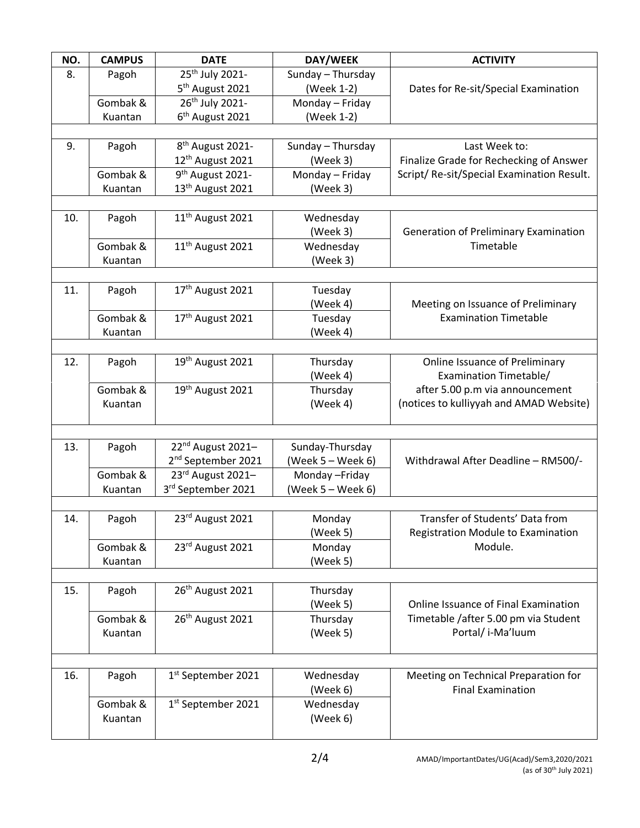| NO. | <b>CAMPUS</b> | <b>DATE</b>                    | DAY/WEEK          | <b>ACTIVITY</b>                            |
|-----|---------------|--------------------------------|-------------------|--------------------------------------------|
| 8.  | Pagoh         | 25 <sup>th</sup> July 2021-    | Sunday - Thursday |                                            |
|     |               | 5 <sup>th</sup> August 2021    | (Week 1-2)        | Dates for Re-sit/Special Examination       |
|     | Gombak &      | 26 <sup>th</sup> July 2021-    | Monday - Friday   |                                            |
|     | Kuantan       | 6 <sup>th</sup> August 2021    | (Week 1-2)        |                                            |
|     |               |                                |                   |                                            |
| 9.  | Pagoh         | 8 <sup>th</sup> August 2021-   | Sunday - Thursday | Last Week to:                              |
|     |               | 12 <sup>th</sup> August 2021   | (Week 3)          | Finalize Grade for Rechecking of Answer    |
|     | Gombak &      | 9 <sup>th</sup> August 2021-   | Monday - Friday   | Script/ Re-sit/Special Examination Result. |
|     | Kuantan       | 13 <sup>th</sup> August 2021   | (Week 3)          |                                            |
|     |               |                                |                   |                                            |
| 10. | Pagoh         | 11 <sup>th</sup> August 2021   | Wednesday         |                                            |
|     |               |                                | (Week 3)          | Generation of Preliminary Examination      |
|     | Gombak &      | 11 <sup>th</sup> August 2021   | Wednesday         | Timetable                                  |
|     | Kuantan       |                                | (Week 3)          |                                            |
|     |               |                                |                   |                                            |
| 11. | Pagoh         | 17 <sup>th</sup> August 2021   | Tuesday           |                                            |
|     |               |                                | (Week 4)          | Meeting on Issuance of Preliminary         |
|     | Gombak &      | 17 <sup>th</sup> August 2021   | Tuesday           | <b>Examination Timetable</b>               |
|     | Kuantan       |                                | (Week 4)          |                                            |
|     |               |                                |                   |                                            |
| 12. | Pagoh         | 19 <sup>th</sup> August 2021   | Thursday          | <b>Online Issuance of Preliminary</b>      |
|     |               |                                | (Week 4)          | Examination Timetable/                     |
|     | Gombak &      | 19th August 2021               | Thursday          | after 5.00 p.m via announcement            |
|     | Kuantan       |                                | (Week 4)          | (notices to kulliyyah and AMAD Website)    |
|     |               |                                |                   |                                            |
| 13. | Pagoh         | 22 <sup>nd</sup> August 2021-  | Sunday-Thursday   |                                            |
|     |               | 2 <sup>nd</sup> September 2021 | (Week 5 – Week 6) | Withdrawal After Deadline - RM500/-        |
|     | Gombak &      | 23rd August 2021-              | Monday-Friday     |                                            |
|     | Kuantan       | 3rd September 2021             | (Week 5 – Week 6) |                                            |
|     |               |                                |                   |                                            |
| 14. | Pagoh         | 23rd August 2021               | Monday            | Transfer of Students' Data from            |
|     |               |                                | (Week 5)          | Registration Module to Examination         |
|     | Gombak &      | 23rd August 2021               | Monday            | Module.                                    |
|     | Kuantan       |                                | (Week 5)          |                                            |
|     |               |                                |                   |                                            |
| 15. | Pagoh         | 26 <sup>th</sup> August 2021   | Thursday          |                                            |
|     |               |                                | (Week 5)          | Online Issuance of Final Examination       |
|     | Gombak &      | 26 <sup>th</sup> August 2021   | Thursday          | Timetable / after 5.00 pm via Student      |
|     | Kuantan       |                                | (Week 5)          | Portal/ i-Ma'luum                          |
|     |               |                                |                   |                                            |
|     |               |                                |                   |                                            |
| 16. | Pagoh         | 1 <sup>st</sup> September 2021 | Wednesday         | Meeting on Technical Preparation for       |
|     |               |                                | (Week 6)          | <b>Final Examination</b>                   |
|     | Gombak &      | 1st September 2021             | Wednesday         |                                            |
|     | Kuantan       |                                | (Week 6)          |                                            |
|     |               |                                |                   |                                            |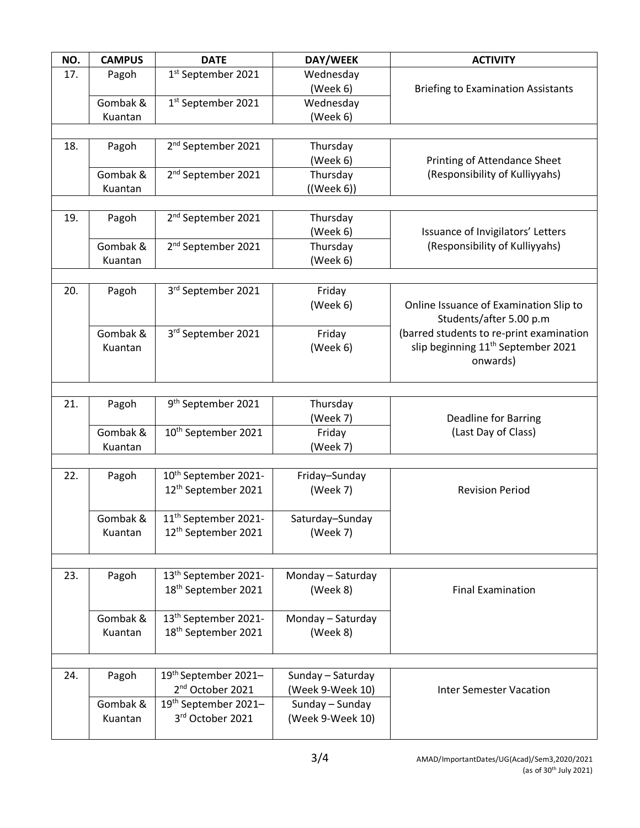| NO. | <b>CAMPUS</b> | <b>DATE</b>                                          | DAY/WEEK                            | <b>ACTIVITY</b>                                |
|-----|---------------|------------------------------------------------------|-------------------------------------|------------------------------------------------|
| 17. | Pagoh         | 1st September 2021                                   | Wednesday                           |                                                |
|     |               |                                                      | (Week 6)                            | <b>Briefing to Examination Assistants</b>      |
|     | Gombak &      | 1st September 2021                                   | Wednesday                           |                                                |
|     | Kuantan       |                                                      | (Week 6)                            |                                                |
|     |               |                                                      |                                     |                                                |
| 18. | Pagoh         | 2 <sup>nd</sup> September 2021                       | Thursday                            |                                                |
|     |               |                                                      | (Week 6)                            | Printing of Attendance Sheet                   |
|     | Gombak &      | 2 <sup>nd</sup> September 2021                       | Thursday                            | (Responsibility of Kulliyyahs)                 |
|     | Kuantan       |                                                      | $((\text{Week } 6))$                |                                                |
|     |               | 2 <sup>nd</sup> September 2021                       |                                     |                                                |
| 19. | Pagoh         |                                                      | Thursday<br>(Week 6)                | Issuance of Invigilators' Letters              |
|     | Gombak &      | 2 <sup>nd</sup> September 2021                       | Thursday                            | (Responsibility of Kulliyyahs)                 |
|     | Kuantan       |                                                      | (Week 6)                            |                                                |
|     |               |                                                      |                                     |                                                |
| 20. | Pagoh         | 3rd September 2021                                   | Friday                              |                                                |
|     |               |                                                      | (Week 6)                            | Online Issuance of Examination Slip to         |
|     |               |                                                      |                                     | Students/after 5.00 p.m                        |
|     | Gombak &      | 3rd September 2021                                   | Friday                              | (barred students to re-print examination       |
|     | Kuantan       |                                                      | (Week 6)                            | slip beginning 11 <sup>th</sup> September 2021 |
|     |               |                                                      |                                     | onwards)                                       |
|     |               |                                                      |                                     |                                                |
|     |               |                                                      |                                     |                                                |
| 21. | Pagoh         | 9 <sup>th</sup> September 2021                       | Thursday                            |                                                |
|     |               |                                                      | (Week 7)                            | <b>Deadline for Barring</b>                    |
|     | Gombak &      | 10 <sup>th</sup> September 2021                      | Friday                              | (Last Day of Class)                            |
|     | Kuantan       |                                                      | (Week 7)                            |                                                |
| 22. | Pagoh         | 10 <sup>th</sup> September 2021-                     | Friday-Sunday                       |                                                |
|     |               | 12 <sup>th</sup> September 2021                      | (Week 7)                            | <b>Revision Period</b>                         |
|     |               |                                                      |                                     |                                                |
|     | Gombak &      | 11 <sup>th</sup> September 2021-                     | Saturday-Sunday                     |                                                |
|     | Kuantan       | 12 <sup>th</sup> September 2021                      | (Week 7)                            |                                                |
|     |               |                                                      |                                     |                                                |
|     |               |                                                      |                                     |                                                |
| 23. | Pagoh         | 13 <sup>th</sup> September 2021-                     | Monday - Saturday                   |                                                |
|     |               | 18 <sup>th</sup> September 2021                      | (Week 8)                            | <b>Final Examination</b>                       |
|     |               |                                                      |                                     |                                                |
|     | Gombak &      | 13 <sup>th</sup> September 2021-                     | Monday - Saturday                   |                                                |
|     | Kuantan       | 18 <sup>th</sup> September 2021                      | (Week 8)                            |                                                |
|     |               |                                                      |                                     |                                                |
|     |               |                                                      |                                     |                                                |
| 24. | Pagoh         | 19th September 2021-<br>2 <sup>nd</sup> October 2021 | Sunday - Saturday                   |                                                |
|     | Gombak &      | 19th September 2021-                                 | (Week 9-Week 10)<br>Sunday - Sunday | <b>Inter Semester Vacation</b>                 |
|     | Kuantan       | 3rd October 2021                                     | (Week 9-Week 10)                    |                                                |
|     |               |                                                      |                                     |                                                |
|     |               |                                                      |                                     |                                                |